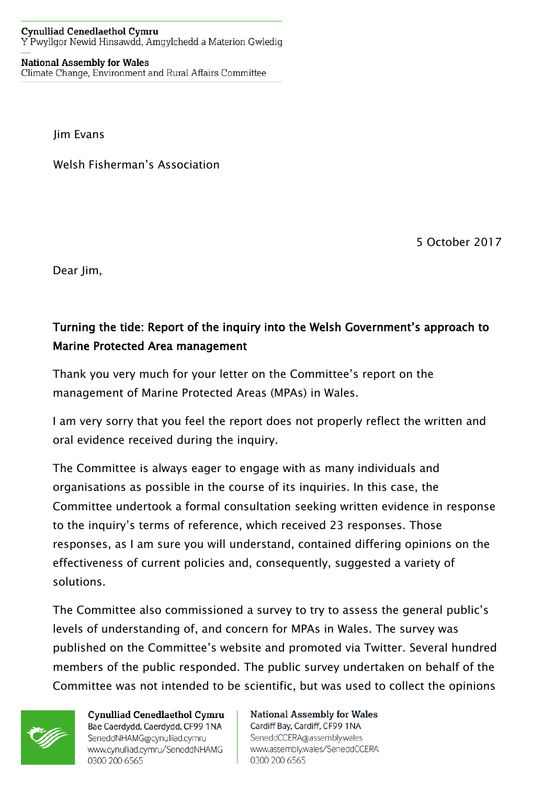## **Cynulliad Cenedlaethol Cymru** Y Pwyllgor Newid Hinsawdd, Amgylchedd a Materion Gwledig

## **National Assembly for Wales** Climate Change, Environment and Rural Affairs Committee

Jim Evans

Welsh Fisherman's Association

5 October 2017

Dear Jim,

## Turning the tide: Report of the inquiry into the Welsh Government's approach to Marine Protected Area management

Thank you very much for your letter on the Committee's report on the management of Marine Protected Areas (MPAs) in Wales.

I am very sorry that you feel the report does not properly reflect the written and oral evidence received during the inquiry.

The Committee is always eager to engage with as many individuals and organisations as possible in the course of its inquiries. In this case, the Committee undertook a formal consultation seeking written evidence in response to the inquiry's terms of reference, which received 23 responses. Those responses, as I am sure you will understand, contained differing opinions on the effectiveness of current policies and, consequently, suggested a variety of solutions.

The Committee also commissioned a survey to try to assess the general public's levels of understanding of, and concern for MPAs in Wales. The survey was published on the Committee's website and promoted via Twitter. Several hundred members of the public responded. The public survey undertaken on behalf of the Committee was not intended to be scientific, but was used to collect the opinions



**Cynulliad Cenedlaethol Cymru** Bae Caerdydd, Caerdydd, CF99 1NA SeneddNHAMG@cynulliad.cymru www.cynulliad.cymru/SeneddNHAMG 0300 200 6565

**National Assembly for Wales** Cardiff Bay, Cardiff, CF99 1NA SeneddCCERA@assembly.wales www.assembly.wales/SeneddCCERA 0300 200 6565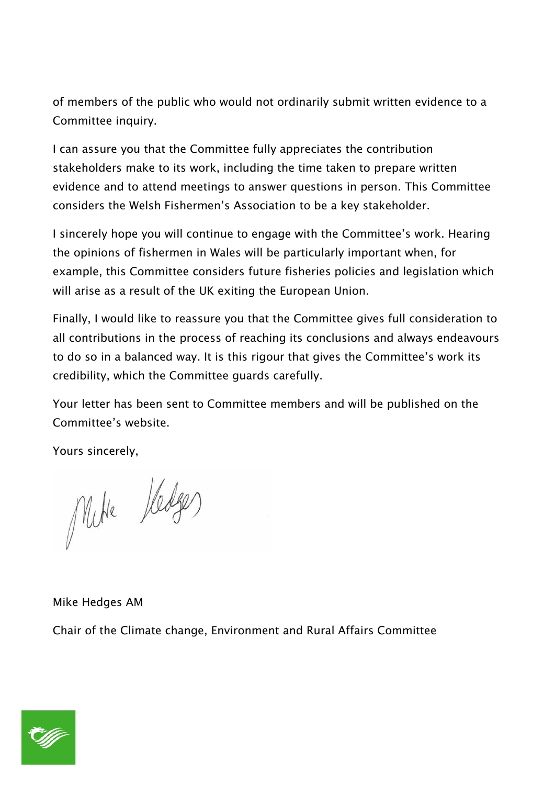of members of the public who would not ordinarily submit written evidence to a Committee inquiry.

I can assure you that the Committee fully appreciates the contribution stakeholders make to its work, including the time taken to prepare written evidence and to attend meetings to answer questions in person. This Committee considers the Welsh Fishermen's Association to be a key stakeholder.

I sincerely hope you will continue to engage with the Committee's work. Hearing the opinions of fishermen in Wales will be particularly important when, for example, this Committee considers future fisheries policies and legislation which will arise as a result of the UK exiting the European Union.

Finally, I would like to reassure you that the Committee gives full consideration to all contributions in the process of reaching its conclusions and always endeavours to do so in a balanced way. It is this rigour that gives the Committee's work its credibility, which the Committee guards carefully.

Your letter has been sent to Committee members and will be published on the Committee's website.

Yours sincerely,

Mike Kedges

Mike Hedges AM

Chair of the Climate change, Environment and Rural Affairs Committee